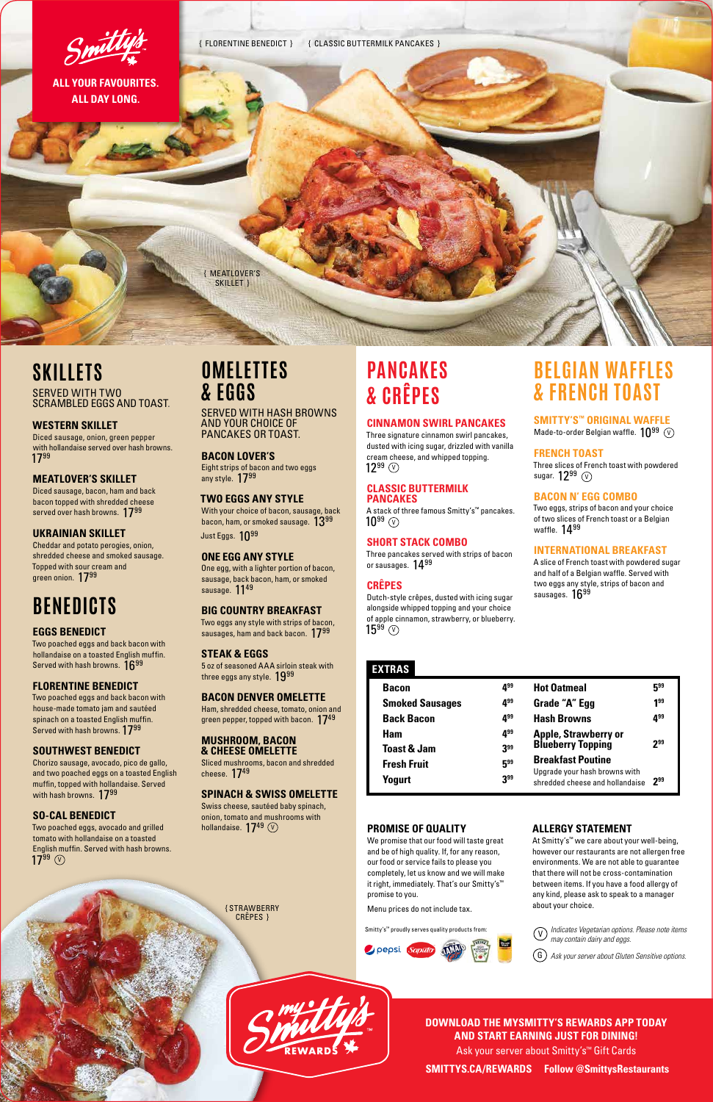# **SKILLETS** SERVED WITH TWO

SCRAMBLED EGGS AND TOAST.

# **WESTERN SKILLET**

Diced sausage, bacon, ham and back bacon topped with shredded cheese served over hash browns. 1799

Diced sausage, onion, green pepper with hollandaise served over hash browns. 1799

Cheddar and potato perogies, onion, shredded cheese and smoked sausage. Topped with sour cream and green onion. 1799

# **MEATLOVER'S SKILLET**

Eight strips of bacon and two eggs any style. 1799

With your choice of bacon, sausage, back bacon, ham, or smoked sausage.  $13^{99}$ Just Eggs. 10<sup>99</sup>

# **UKRAINIAN SKILLET**

One egg, with a lighter portion of bacon, sausage, back bacon, ham, or smoked sausage. 1149

Two eggs any style with strips of bacon, sausages, ham and back bacon. 1799

# **OMELETTES & EGGS**

5 oz of seasoned AAA sirloin steak with three eggs any style. 1999

SERVED WITH HASH BROWNS AND YOUR CHOICE OF PANCAKES OR TOAST.

Ham, shredded cheese, tomato, onion and green pepper, topped with bacon.  $17^{49}$ 

# **BACON LOVER'S**

Sliced mushrooms, bacon and shredded cheese. 1749

# **TWO EGGS ANY STYLE**

# **ONE EGG ANY STYLE**

Two poached eggs and back bacon with hollandaise on a toasted English muffin. Served with hash browns.  $16^{99}$ 

# **BIG COUNTRY BREAKFAST**

#### **STEAK & EGGS**

Chorizo sausage, avocado, pico de gallo, and two poached eggs on a toasted English muffin, topped with hollandaise. Served with hash browns. 1799

#### **BACON DENVER OMELETTE**

Two poached eggs, avocado and grilled tomato with hollandaise on a toasted English muffin. Served with hash browns.  $17^{99}$   $\circledcirc$ 

#### **MUSHROOM, BACON & CHEESE OMELETTE**

Three signature cinnamon swirl pancakes, dusted with icing sugar, drizzled with vanilla cream cheese, and whipped topping.  $12^{99}$   $\circledcirc$ 

#### **SPINACH & SWISS OMELETTE**  Swiss cheese, sautéed baby spinach,

A stack of three famous Smitty's™ pancakes.  $10^{99}$   $\circledcirc$ 

# **EXTRAS**

Three pancakes served with strips of bacon or sausages. 1499

Dutch-style crêpes, dusted with icing sugar alongside whipped topping and your choice of apple cinnamon, strawberry, or blueberry.  $15^{99}$   $\circledcirc$ 

#### **Bacon 499 Smoked Sausages 499 Back Bacon 499 Ham 499 Toast & Jam 399 Fresh Fruit 599 Yogurt** 3<sup>99</sup> **Hot Oatmeal 599** Grade "A" Egg 199 Hash Browns 499 **Apple, Strawberry or Blueberry Topping 299 Breakfast Poutine**  Upgrade your hash browns with shredded cheese and hollandaise **299**

Three slices of French toast with powdered sugar.  $12^{99}$   $\odot$ 

Two eggs, strips of bacon and your choice of two slices of French toast or a Belgian waffle.  $14^{99}$ 

A slice of French toast with powdered sugar and half of a Belgian waffle. Served with two eggs any style, strips of bacon and sausages. 1699

# **BENEDICTS**

# **EGGS BENEDICT**



# **FLORENTINE BENEDICT**

Two poached eggs and back bacon with house-made tomato jam and sautéed spinach on a toasted English muffin. Served with hash browns. 1799

# **SOUTHWEST BENEDICT**

# **SO-CAL BENEDICT**

# **DOWNLOAD THE MYSMITTY'S REWARDS APP TODAY AND START EARNING JUST FOR DINING!**

Ask your server about Smitty's™ Gift Cards

**SMITTYS.CA/REWARDS Follow @SmittysRestaurants**

# **PANCAKES & CRÊPES**

# **CINNAMON SWIRL PANCAKES**

#### **CLASSIC BUTTERMILK PANCAKES**

# **SHORT STACK COMBO**



# **CRÊPES**

# **BELGIAN WAFFLES & FRENCH TOAST**

**SMITTY'S™ ORIGINAL WAFFLE** 

Made-to-order Belgian waffle.  $10^{99}~\rm ($ 

# **FRENCH TOAST**

# **BACON N' EGG COMBO**

# **INTERNATIONAL BREAKFAST**

{ STRAWBERRY CRÊPES }

#### **PROMISE OF QUALITY**

We promise that our food will taste great and be of high quality. If, for any reason, our food or service fails to please you completely, let us know and we will make it right, immediately. That's our Smitty's™ promise to you.

Menu prices do not include tax.

Smitty's™ proudly serves quality products from:



# **ALLERGY STATEMENT**

At Smitty's™ we care about your well-being, however our restaurants are not allergen free environments. We are not able to guarantee that there will not be cross-contamination between items. If you have a food allergy of any kind, please ask to speak to a manager about your choice.

*Indicates Vegetarian options. Please note items*  V *may contain dairy and eggs.*

G *Ask your server about Gluten Sensitive options.*